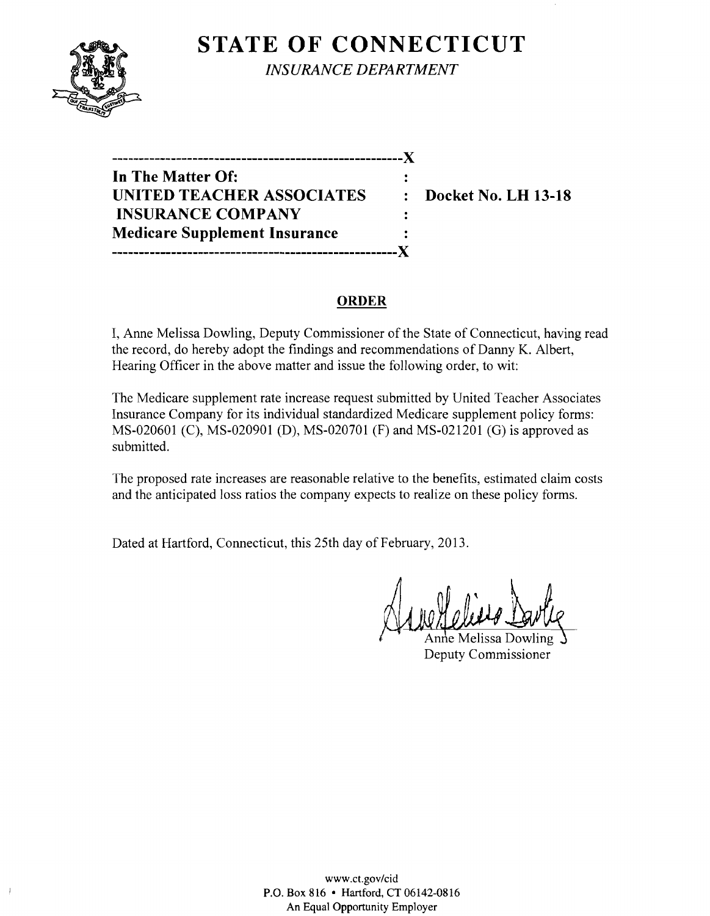

**STATE OF CONNECTICUT** *INSURANCE DEPARTMENT* 

**------------------------------------------------------)( In The Matter Of:**  UNITED TEACHER ASSOCIATES : Docket No. LH 13-18 **INSURANCE COMPANY Medicare Supplement Insurance -----------------------------------------------------)(** 

## **ORDER**

 $\mathbf{r}$ 

I, Anne Melissa Dowling, Deputy Commissioner of the State of Connecticut, having read the record, do hereby adopt the findings and recommendations of Danny K. Albert, Hearing Officer in the above matter and issue the following order, to wit:

The Medicare supplement rate increase request submitted by United Teacher Associates Insurance Company for its individual standardized Medicare supplement policy forms: MS-020601 (C), MS-020901 (D), MS-020701 (F) and MS-021201 (G) is approved as submitted.

The proposed rate increases are reasonable relative to the benefits, estimated claim costs and the anticipated loss ratios the company expects to realize on these policy forms.

Dated at Hartford, Connecticut, this 25th day of February, 2013.

Anne Melissa Dowling Deputy Commissioner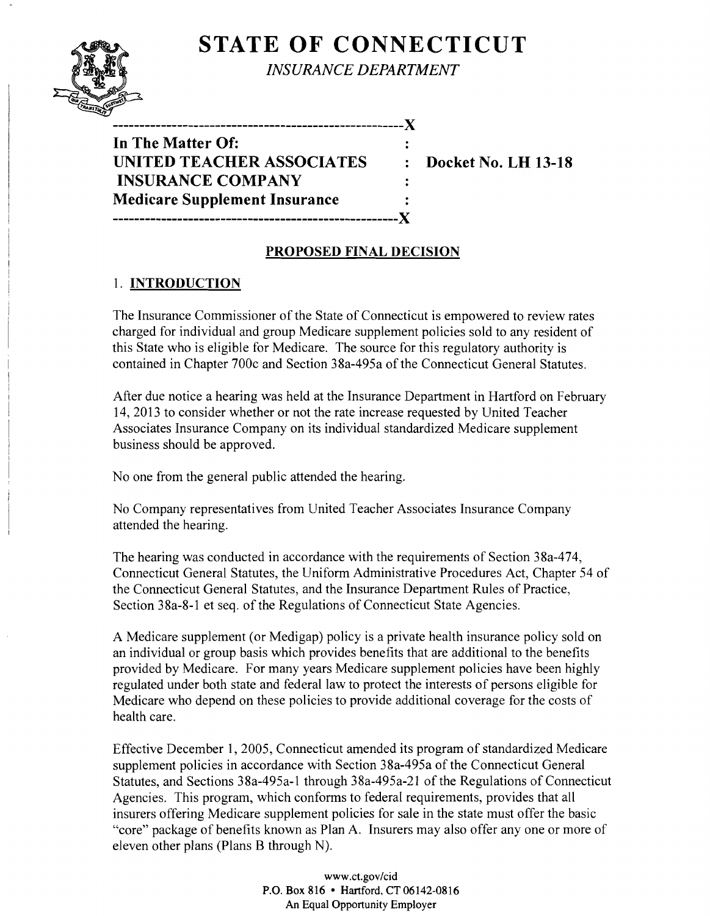# **STATE OF CONNECTICUT**



*INSURANCE DEPARTMENT* 

**In The Matter Of: UNITED TEACHER ASSOCIATES : Docket No. LH 13-18 INSURANCE COMPANY Medicare Supplement Insurance -----------------------------------------------------)(** 

**------------------------------------------------------)(** 

## **PROPOSED FINAL DECISION**

### 1. **INTRODUCTION**

The Insurance Commissioner of the State of Connecticut is empowered to review rates charged for individual and group Medicare supplement policies sold to any resident of this State who is eligible for Medicare. The source for this regulatory authority is contained in Chapter 700c and Section 38a-495a of the Connecticut General Statutes.

After due notice a hearing was held at the Insurance Department in Hartford on February 14,2013 to consider whether or not the rate increase requested by United Teacher Associates Insurance Company on its individual standardized Medicare supplement business should be approved.

No one from the general public attended the hearing.

No Company representatives from United Teacher Associates Insurance Company attended the hearing.

The hearing was conducted in accordance with the requirements of Section 38a-474, Connecticut General Statutes, the Uniform Administrative Procedures Act, Chapter 54 of the Connecticut General Statutes, and the Insurance Department Rules of Practice, Section 38a-8-1 et seq. of the Regulations of Connecticut State Agencies.

A Medicare supplement (or Medigap) policy is a private health insurance policy sold on an individual or group basis which provides benefits that are additional to the benefits provided by Medicare. For many years Medicare supplement policies have been highly regulated under both state and federal law to protect the interests of persons eligible for Medicare who depend on these policies to provide additional coverage for the costs of health care.

Effective December 1,2005, Connecticut amended its program of standardized Medicare supplement policies in accordance with Section 38a-495a of the Connecticut General Statutes, and Sections 38a-495a-l through 38a-495a-21 of the Regulations of Connecticut Agencies. This program, which conforms to federal requirements, provides that all insurers offering Medicare supplement policies for sale in the state must offer the basic "core" package of benefits known as Plan A. Insurers may also offer anyone or more of eleven other plans (Plans B through N).

> www.ct.gov/cid P.O. Box 816 • Hartford, CT06142-0816 An Equal Opportunity Employer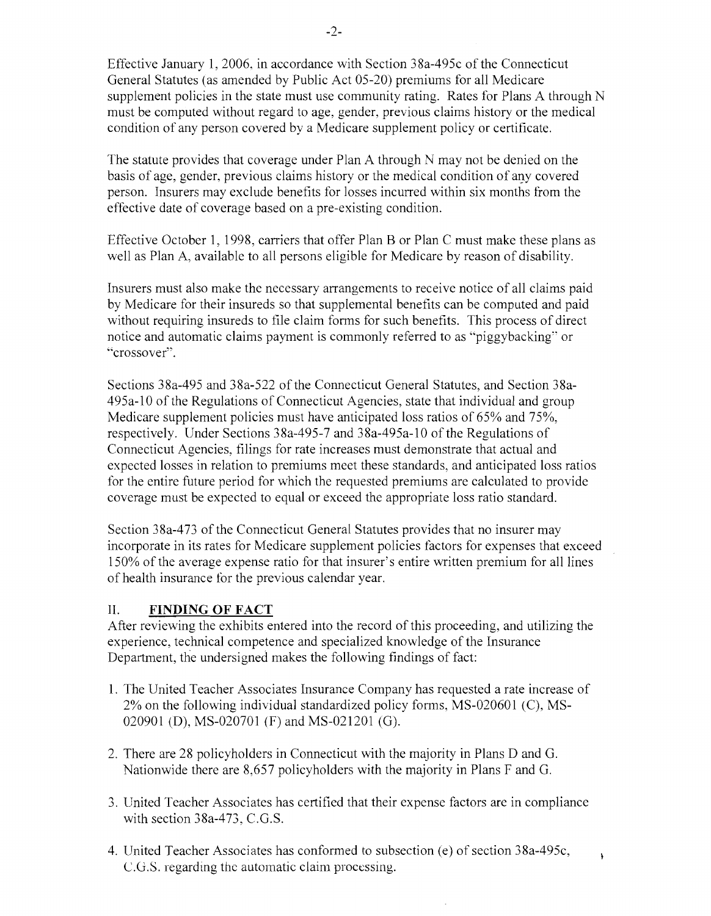Effective January 1,2006, in accordance with Section 38a-495c of the Connecticut General Statutes (as amended by Public Act 05-20) premiums for all Medicare supplement policies in the state must use community rating. Rates for Plans A through N must be computed without regard to age, gender, previous claims history or the medical condition of any person covered by a Medicare supplement policy or certificate.

The statute provides that coverage under Plan A through N may not be denied on the basis of age, gender, previous claims history or the medical condition of any covered person. Insurers may exclude benefits for losses incurred within six months from the effective date of coverage based on a pre-existing condition.

Effective October 1, 1998, carriers that offer Plan B or Plan C must make these plans as well as Plan A, available to all persons eligible for Medicare by reason of disability.

Insurers must also make the necessary arrangements to receive notice of all claims paid by Medicare for their insureds so that supplemental benefits can be computed and paid without requiring insureds to file claim forms for such benefits. This process of direct notice and automatic claims payment is commonly referred to as "piggybacking" or "crossover".

Sections 38a-495 and 38a-522 of the Connecticut General Statutes, and Section 38a-495a-10 of the Regulations of Connecticut Agencies, state that individual and group Medicare supplement policies must have anticipated loss ratios of 65% and 75%, respectively. Under Sections 38a-495-7 and 38a-495a-10 of the Regulations of Connecticut Agencies, filings for rate increases must demonstrate that actual and expected losses in relation to premiums meet these standards, and anticipated loss ratios for the entire future period for which the requested premiums are calculated to provide coverage must be expected to equal or exceed the appropriate loss ratio standard.

Section 38a-473 of the Connecticut General Statutes provides that no insurer may incorporate in its rates for Medicare supplement policies factors for expenses that exceed 150% of the average expense ratio for that insurer's entire written premium for all lines of health insurance for the previous calendar year.

#### II. **FINDING OF FACT**

After reviewing the exhibits entered into the record of this proceeding, and utilizing the experience, technical competence and specialized knowledge of the Insurance Department, the undersigned makes the following findings of fact:

- 1. The United Teacher Associates Insurance Company has requested a rate increase of  $2\%$  on the following individual standardized policy forms, MS-020601 (C), MS-020901 (D), MS-020701 (F) and MS-021201 (G).
- 2. There are 28 policyholders in Connecticut with the majority in Plans D and G. Nationwide there are 8,657 policyholders with the majority in Plans F and G.
- 3. United Teacher Associates has certified that their expense factors are in compliance with section 38a-473, C.G.S.
- 4. United Teacher Associates has conformed to subsection (e) of section 38a-495c,  $C.G.S.$  regarding the automatic claim processing.

À